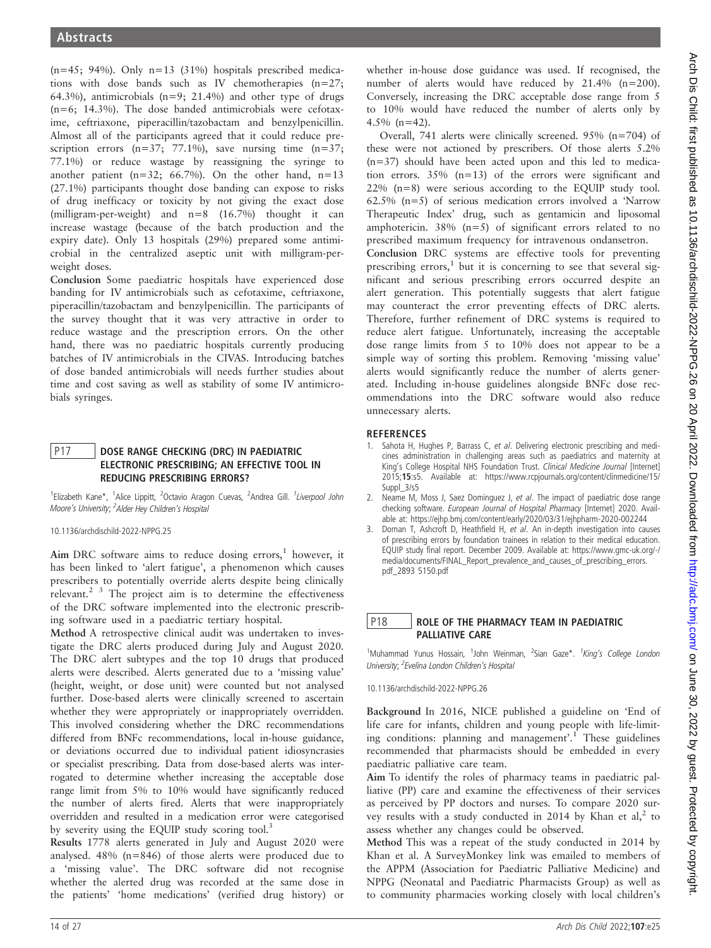$(n=45; 94%)$ . Only  $n=13$  (31%) hospitals prescribed medications with dose bands such as IV chemotherapies (n=27; 64.3%), antimicrobials ( $n=9$ ; 21.4%) and other type of drugs  $(n=6; 14.3\%)$ . The dose banded antimicrobials were cefotaxime, ceftriaxone, piperacillin/tazobactam and benzylpenicillin. Almost all of the participants agreed that it could reduce prescription errors  $(n=37; 77.1\%)$ , save nursing time  $(n=37;$ 77.1%) or reduce wastage by reassigning the syringe to another patient ( $n=32$ ; 66.7%). On the other hand,  $n=13$ (27.1%) participants thought dose banding can expose to risks of drug inefficacy or toxicity by not giving the exact dose (milligram-per-weight) and  $n=8$  (16.7%) thought it can increase wastage (because of the batch production and the expiry date). Only 13 hospitals (29%) prepared some antimicrobial in the centralized aseptic unit with milligram-perweight doses.

Conclusion Some paediatric hospitals have experienced dose banding for IV antimicrobials such as cefotaxime, ceftriaxone, piperacillin/tazobactam and benzylpenicillin. The participants of the survey thought that it was very attractive in order to reduce wastage and the prescription errors. On the other hand, there was no paediatric hospitals currently producing batches of IV antimicrobials in the CIVAS. Introducing batches of dose banded antimicrobials will needs further studies about time and cost saving as well as stability of some IV antimicrobials syringes.

## P17 | DOSE RANGE CHECKING (DRC) IN PAEDIATRIC ELECTRONIC PRESCRIBING; AN EFFECTIVE TOOL IN REDUCING PRESCRIBING ERRORS?

<sup>1</sup>Elizabeth Kane\*, <sup>1</sup>Alice Lippitt, <sup>2</sup>Octavio Aragon Cuevas, <sup>2</sup>Andrea Gill. <sup>1</sup>Liverpool John Moore's University; <sup>2</sup>Alder Hey Children's Hospital

10.1136/archdischild-2022-NPPG.25

Aim DRC software aims to reduce dosing  $\text{errors}_1^1$  however, it has been linked to 'alert fatigue', a phenomenon which causes prescribers to potentially override alerts despite being clinically relevant.<sup>2</sup> <sup>3</sup> The project aim is to determine the effectiveness of the DRC software implemented into the electronic prescribing software used in a paediatric tertiary hospital.

Method A retrospective clinical audit was undertaken to investigate the DRC alerts produced during July and August 2020. The DRC alert subtypes and the top 10 drugs that produced alerts were described. Alerts generated due to a 'missing value' (height, weight, or dose unit) were counted but not analysed further. Dose-based alerts were clinically screened to ascertain whether they were appropriately or inappropriately overridden. This involved considering whether the DRC recommendations differed from BNFc recommendations, local in-house guidance, or deviations occurred due to individual patient idiosyncrasies or specialist prescribing. Data from dose-based alerts was interrogated to determine whether increasing the acceptable dose range limit from 5% to 10% would have significantly reduced the number of alerts fired. Alerts that were inappropriately overridden and resulted in a medication error were categorised by severity using the EQUIP study scoring tool.<sup>3</sup>

Results 1778 alerts generated in July and August 2020 were analysed. 48% (n=846) of those alerts were produced due to a 'missing value'. The DRC software did not recognise whether the alerted drug was recorded at the same dose in the patients' 'home medications' (verified drug history) or

whether in-house dose guidance was used. If recognised, the number of alerts would have reduced by 21.4% (n=200). Conversely, increasing the DRC acceptable dose range from 5 to 10% would have reduced the number of alerts only by 4.5% (n=42).

Overall, 741 alerts were clinically screened. 95% (n=704) of these were not actioned by prescribers. Of those alerts 5.2% (n=37) should have been acted upon and this led to medication errors. 35% (n=13) of the errors were significant and 22% (n=8) were serious according to the EQUIP study tool. 62.5% (n=5) of serious medication errors involved a 'Narrow Therapeutic Index' drug, such as gentamicin and liposomal amphotericin.  $38\%$  (n=5) of significant errors related to no prescribed maximum frequency for intravenous ondansetron.

Conclusion DRC systems are effective tools for preventing prescribing errors, $<sup>1</sup>$  but it is concerning to see that several sig-</sup> nificant and serious prescribing errors occurred despite an alert generation. This potentially suggests that alert fatigue may counteract the error preventing effects of DRC alerts. Therefore, further refinement of DRC systems is required to reduce alert fatigue. Unfortunately, increasing the acceptable dose range limits from 5 to 10% does not appear to be a simple way of sorting this problem. Removing 'missing value' alerts would significantly reduce the number of alerts generated. Including in-house guidelines alongside BNFc dose recommendations into the DRC software would also reduce unnecessary alerts.

# **REFERENCES**

- 1. Sahota H, Hughes P, Barrass C, et al. Delivering electronic prescribing and medicines administration in challenging areas such as paediatrics and maternity at King's College Hospital NHS Foundation Trust. Clinical Medicine Journal [Internet] 2015;15:s5. Available at: https://www.rcpjournals.org/content/clinmedicine/15/ Suppl\_3/s5
- 2. Neame M, Moss J, Saez Dominguez J, et al. The impact of paediatric dose range checking software. European Journal of Hospital Pharmacy [Internet] 2020. Available at: https://ejhp.bmj.com/content/early/2020/03/31/ejhpharm-2020-002244
- 3. Dornan T, Ashcroft D, Heathfield H, et al. An in-depth investigation into causes of prescribing errors by foundation trainees in relation to their medical education. EQUIP study final report. December 2009. Available at: https://www.gmc-uk.org/-/ media/documents/FINAL\_Report\_prevalence\_and\_causes\_of\_prescribing\_errors. pdf\_2893 5150.pdf

# P18 ROLE OF THE PHARMACY TEAM IN PAEDIATRIC PALLIATIVE CARE

<sup>1</sup>Muhammad Yunus Hossain, <sup>1</sup>John Weinman, <sup>2</sup>Sian Gaze\*. <sup>1</sup>King's College London University; <sup>2</sup> Evelina London Children's Hospital

10.1136/archdischild-2022-NPPG.26

Background In 2016, NICE published a guideline on 'End of life care for infants, children and young people with life-limiting conditions: planning and management'. <sup>1</sup> These guidelines recommended that pharmacists should be embedded in every paediatric palliative care team.

Aim To identify the roles of pharmacy teams in paediatric palliative (PP) care and examine the effectiveness of their services as perceived by PP doctors and nurses. To compare 2020 survey results with a study conducted in 2014 by Khan et al, $^2$  to assess whether any changes could be observed.

Method This was a repeat of the study conducted in 2014 by Khan et al. A SurveyMonkey link was emailed to members of the APPM (Association for Paediatric Palliative Medicine) and NPPG (Neonatal and Paediatric Pharmacists Group) as well as to community pharmacies working closely with local children's